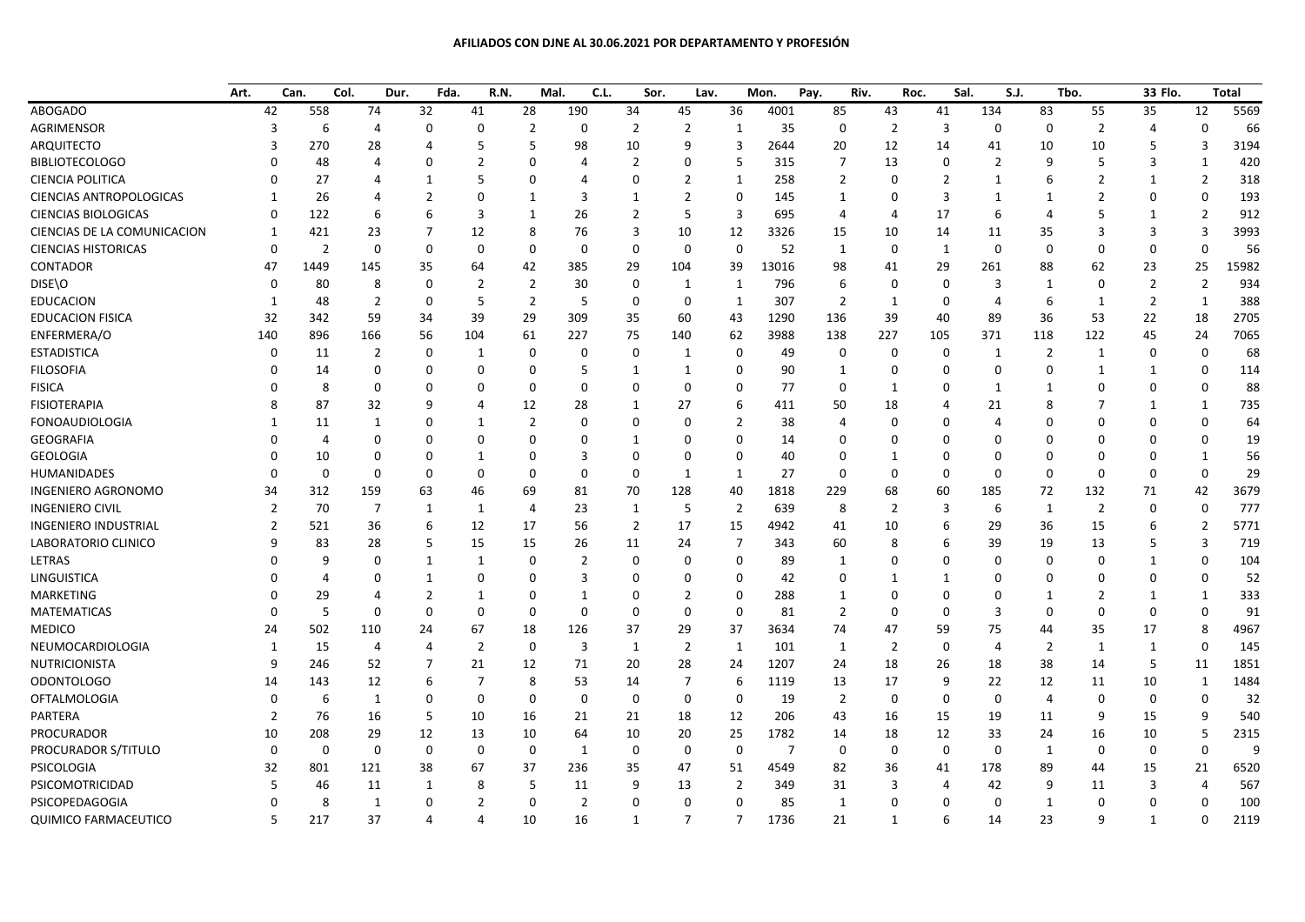## **AFILIADOS CON DJNE AL 30.06.2021 POR DEPARTAMENTO Y PROFESIÓN**

|                                | Art. | Can.           | Col.            | Dur.           | Fda.           | R.N.           | Mal.           | C.L.           | Sor.           | Lav.           |                | Mon.           | Pay.<br>Riv.   | Roc.           | Sal.           | S.J.           |                | Tbo.           | 33 Flo.        |                | Total |
|--------------------------------|------|----------------|-----------------|----------------|----------------|----------------|----------------|----------------|----------------|----------------|----------------|----------------|----------------|----------------|----------------|----------------|----------------|----------------|----------------|----------------|-------|
| <b>ABOGADO</b>                 |      | 42             | 558             | 74             | 32             | 41             | 28             | 190            | 34             | 45             | 36             | 4001           | 85             | 43             | 41             | 134            | 83             | 55             | 35             | 12             | 5569  |
| AGRIMENSOR                     |      | 3              | $6\phantom{1}6$ | 4              | $\mathbf 0$    | 0              | $\overline{2}$ | $\mathbf 0$    | $\overline{2}$ | $\overline{2}$ | $\mathbf{1}$   | 35             | $\mathbf 0$    | $\overline{2}$ | $\overline{3}$ | $\Omega$       | 0              | $\mathbf 2$    | 4              | $\mathbf 0$    | 66    |
| <b>ARQUITECTO</b>              |      | 3              | 270             | 28             | 4              | 5              | 5              | 98             | 10             | 9              | 3              | 2644           | 20             | 12             | 14             | 41             | 10             | 10             | 5              | 3              | 3194  |
| <b>BIBLIOTECOLOGO</b>          |      | O              | 48              | 4              | $\Omega$       | 2              | $\mathbf 0$    | $\overline{4}$ | $\overline{2}$ | $\mathbf 0$    | 5              | 315            | $\overline{7}$ | 13             | $\mathbf 0$    | $\overline{2}$ | 9              | 5              | 3              | 1              | 420   |
| <b>CIENCIA POLITICA</b>        |      | 0              | 27              | Δ              | -1             | 5              | $\mathbf 0$    | 4              | $\Omega$       | $\overline{2}$ | 1              | 258            | $\overline{2}$ | $\mathbf 0$    | $\overline{2}$ | $\mathbf{1}$   | 6              | $\overline{2}$ | $\mathbf{1}$   | $\overline{2}$ | 318   |
| <b>CIENCIAS ANTROPOLOGICAS</b> |      | $\mathbf{1}$   | 26              | Δ              | $\overline{2}$ | $\Omega$       | 1              | 3              | 1              | $\overline{2}$ | $\Omega$       | 145            | 1              | $\Omega$       | $\overline{3}$ | $\mathbf{1}$   | 1              | 2              | $\Omega$       | $\Omega$       | 193   |
| <b>CIENCIAS BIOLOGICAS</b>     |      | $\Omega$       | 122             | 6              | 6              | 3              | 1              | 26             | $\overline{2}$ | 5              | $\overline{3}$ | 695            | $\overline{4}$ | 4              | 17             | 6              | 4              | 5              | 1              | $\overline{2}$ | 912   |
| CIENCIAS DE LA COMUNICACION    |      | $\mathbf{1}$   | 421             | 23             | 7              | 12             | 8              | 76             | 3              | 10             | 12             | 3326           | 15             | 10             | 14             | 11             | 35             | 3              | 3              | 3              | 3993  |
| <b>CIENCIAS HISTORICAS</b>     |      | $\Omega$       | $\overline{2}$  | $\mathbf 0$    | $\mathbf 0$    | $\mathbf 0$    | $\mathbf 0$    | $\mathbf 0$    | $\Omega$       | $\mathbf 0$    | $\mathbf 0$    | 52             | 1              | $\mathbf 0$    | $\mathbf{1}$   | $\Omega$       | $\mathbf 0$    | $\Omega$       | $\mathbf 0$    | $\mathbf{0}$   | 56    |
| <b>CONTADOR</b>                |      | 47             | 1449            | 145            | 35             | 64             | 42             | 385            | 29             | 104            | 39             | 13016          | 98             | 41             | 29             | 261            | 88             | 62             | 23             | 25             | 15982 |
| DISE\O                         |      | $\Omega$       | 80              | 8              | 0              | $\overline{2}$ | $\overline{2}$ | 30             | 0              | 1              | 1              | 796            | 6              | $\mathbf 0$    | $\mathbf 0$    | 3              | $\mathbf{1}$   | $\Omega$       | $\overline{2}$ | $\overline{2}$ | 934   |
| <b>EDUCACION</b>               |      | 1              | 48              | $\overline{2}$ | 0              | 5              | $\overline{2}$ | 5              | $\mathbf 0$    | 0              | 1              | 307            | $\overline{2}$ | 1              | $\mathbf{0}$   | $\overline{4}$ | 6              | 1              | $\overline{2}$ | 1              | 388   |
| <b>EDUCACION FISICA</b>        |      | 32             | 342             | 59             | 34             | 39             | 29             | 309            | 35             | 60             | 43             | 1290           | 136            | 39             | 40             | 89             | 36             | 53             | 22             | 18             | 2705  |
| ENFERMERA/O                    |      | 140            | 896             | 166            | 56             | 104            | 61             | 227            | 75             | 140            | 62             | 3988           | 138            | 227            | 105            | 371            | 118            | 122            | 45             | 24             | 7065  |
| <b>ESTADISTICA</b>             |      | $\Omega$       | 11              | $\overline{2}$ | 0              | 1              | $\mathbf 0$    | $\Omega$       | $\mathbf 0$    | 1              | $\mathbf 0$    | 49             | 0              | $\mathbf 0$    | $\mathbf 0$    | $\mathbf{1}$   | $\overline{2}$ | 1              | 0              | 0              | 68    |
| <b>FILOSOFIA</b>               |      | $\Omega$       | 14              | 0              | $\Omega$       | $\Omega$       | $\mathbf 0$    | 5              | $\mathbf{1}$   | 1              | $\Omega$       | 90             | 1              | $\mathbf 0$    | $\Omega$       | $\Omega$       | $\Omega$       | $\mathbf{1}$   | $\mathbf{1}$   | $\Omega$       | 114   |
| <b>FISICA</b>                  |      | O              | 8               | $\Omega$       | $\Omega$       | $\Omega$       | $\mathbf 0$    | $\mathbf 0$    | $\Omega$       | $\Omega$       | $\Omega$       | 77             | $\mathbf{0}$   | $\mathbf{1}$   | $\Omega$       | $\mathbf{1}$   | $\mathbf{1}$   | $\Omega$       | $\mathbf{0}$   | $\Omega$       | 88    |
| <b>FISIOTERAPIA</b>            |      | 8              | 87              | 32             | q              | 4              | 12             | 28             | $\mathbf{1}$   | 27             | 6              | 411            | 50             | 18             | 4              | 21             | 8              | 7              | $\mathbf{1}$   | $\mathbf{1}$   | 735   |
| <b>FONOAUDIOLOGIA</b>          |      | 1              | 11              | $\mathbf{1}$   | 0              | $\mathbf{1}$   | $\overline{2}$ | $\Omega$       | $\Omega$       | $\mathbf 0$    | $\overline{2}$ | 38             | $\overline{4}$ | $\Omega$       | $\Omega$       | $\Delta$       | 0              | $\Omega$       | 0              | $\Omega$       | 64    |
| <b>GEOGRAFIA</b>               |      | 0              | $\overline{4}$  | $\Omega$       | 0              | $\Omega$       | $\mathbf 0$    | $\Omega$       | $\mathbf{1}$   | $\mathbf 0$    | $\Omega$       | 14             | 0              | $\Omega$       | $\Omega$       | $\Omega$       | 0              | $\Omega$       | $\Omega$       | O              | 19    |
| <b>GEOLOGIA</b>                |      | U              | 10              | $\Omega$       | $\Omega$       | $\mathbf{1}$   | $\Omega$       | 3              | $\Omega$       | $\Omega$       | $\Omega$       | 40             | O              | $\mathbf{1}$   | $\Omega$       | $\Omega$       | $\Omega$       | $\Omega$       | $\Omega$       | -1             | 56    |
| <b>HUMANIDADES</b>             |      | 0              | $\Omega$        | $\Omega$       | $\mathbf 0$    | $\Omega$       | $\mathbf 0$    | $\Omega$       | $\mathbf 0$    | $\mathbf{1}$   | 1              | 27             | $\Omega$       | $\mathbf 0$    | $\Omega$       | $\Omega$       | 0              | $\Omega$       | $\mathbf 0$    | $\Omega$       | 29    |
| <b>INGENIERO AGRONOMO</b>      |      | 34             | 312             | 159            | 63             | 46             | 69             | 81             | 70             | 128            | 40             | 1818           | 229            | 68             | 60             | 185            | 72             | 132            | 71             | 42             | 3679  |
| <b>INGENIERO CIVIL</b>         |      | $\overline{2}$ | 70              | 7              | 1              | 1              | 4              | 23             | 1              | 5              | $\overline{2}$ | 639            | 8              | $\overline{2}$ | 3              | 6              | $\mathbf{1}$   | 2              | 0              | $\mathbf{0}$   | 777   |
| <b>INGENIERO INDUSTRIAL</b>    |      | $\mathfrak{p}$ | 521             | 36             | 6              | 12             | 17             | 56             | $\overline{2}$ | 17             | 15             | 4942           | 41             | 10             | 6              | 29             | 36             | 15             | 6              | $\overline{2}$ | 5771  |
| LABORATORIO CLINICO            |      | 9              | 83              | 28             | 5              | 15             | 15             | 26             | 11             | 24             | $\overline{7}$ | 343            | 60             | 8              | 6              | 39             | 19             | 13             | 5              | 3              | 719   |
| <b>LETRAS</b>                  |      | U              | 9               | $\Omega$       | 1              | $\mathbf{1}$   | $\mathbf 0$    | $\overline{2}$ | $\mathbf 0$    | $\mathbf 0$    | $\Omega$       | 89             | 1              | $\Omega$       | $\Omega$       | $\Omega$       | 0              | $\Omega$       | $\mathbf{1}$   | $\Omega$       | 104   |
| LINGUISTICA                    |      |                | $\overline{4}$  | 0              | 1              | $\mathbf{0}$   | $\mathbf 0$    | 3              | $\Omega$       | $\mathbf 0$    | $\Omega$       | 42             | 0              | $\mathbf{1}$   | 1              | $\Omega$       | $\Omega$       | $\Omega$       | 0              | $\Omega$       | 52    |
| <b>MARKETING</b>               |      |                | 29              | 4              | $\overline{2}$ | $\mathbf{1}$   | $\mathbf 0$    | $\mathbf{1}$   | $\Omega$       | $\overline{2}$ | $\Omega$       | 288            | $\mathbf{1}$   | $\Omega$       | $\Omega$       | $\Omega$       | $\mathbf{1}$   | $\overline{2}$ | $\mathbf{1}$   | -1             | 333   |
| <b>MATEMATICAS</b>             |      | U              | 5               | $\Omega$       | $\Omega$       | $\Omega$       | $\mathbf 0$    | $\Omega$       | $\Omega$       | $\mathbf 0$    | $\Omega$       | 81             | $\overline{2}$ | $\Omega$       | $\Omega$       | 3              | $\mathbf 0$    | $\Omega$       | $\mathbf 0$    | $\Omega$       | 91    |
| <b>MEDICO</b>                  |      | 24             | 502             | 110            | 24             | 67             | 18             | 126            | 37             | 29             | 37             | 3634           | 74             | 47             | 59             | 75             | 44             | 35             | 17             | 8              | 4967  |
| NEUMOCARDIOLOGIA               |      | 1              | 15              | $\overline{4}$ | 4              | $\overline{2}$ | $\mathbf 0$    | 3              | 1              | $\overline{2}$ | 1              | 101            | 1              | $\overline{2}$ | $\mathbf 0$    | $\overline{4}$ | $\overline{2}$ | 1              | $\mathbf{1}$   | $\mathbf{0}$   | 145   |
| NUTRICIONISTA                  |      | 9              | 246             | 52             | 7              | 21             | 12             | 71             | 20             | 28             | 24             | 1207           | 24             | 18             | 26             | 18             | 38             | 14             | 5              | 11             | 1851  |
| <b>ODONTOLOGO</b>              |      | 14             | 143             | 12             | 6              | $\overline{7}$ | 8              | 53             | 14             | $\overline{7}$ | 6              | 1119           | 13             | 17             | 9              | 22             | 12             | 11             | 10             | 1              | 1484  |
| <b>OFTALMOLOGIA</b>            |      | 0              | 6               | 1              | $\mathbf 0$    | $\mathbf 0$    | $\mathbf 0$    | $\mathbf 0$    | $\mathbf 0$    | $\mathbf 0$    | $\mathbf 0$    | 19             | $\overline{2}$ | $\mathbf 0$    | $\mathbf{0}$   | $\Omega$       | $\overline{4}$ | $\mathbf 0$    | 0              | $\mathbf{0}$   | 32    |
| PARTERA                        |      | 2              | 76              | 16             | 5              | 10             | 16             | 21             | 21             | 18             | 12             | 206            | 43             | 16             | 15             | 19             | 11             | 9              | 15             | 9              | 540   |
| PROCURADOR                     |      | 10             | 208             | 29             | 12             | 13             | 10             | 64             | 10             | 20             | 25             | 1782           | 14             | 18             | 12             | 33             | 24             | 16             | 10             | 5              | 2315  |
| PROCURADOR S/TITULO            |      | 0              | $\mathbf 0$     | $\mathbf 0$    | $\mathbf 0$    | $\mathbf{0}$   | $\mathbf 0$    | 1              | $\mathbf 0$    | $\mathbf 0$    | $\Omega$       | $\overline{7}$ | $\mathbf 0$    | $\mathbf 0$    | $\mathbf 0$    | $\Omega$       | $\mathbf{1}$   | $\mathbf 0$    | $\mathbf{0}$   | $\Omega$       | 9     |
| PSICOLOGIA                     |      | 32             | 801             | 121            | 38             | 67             | 37             | 236            | 35             | 47             | 51             | 4549           | 82             | 36             | 41             | 178            | 89             | 44             | 15             | 21             | 6520  |
| PSICOMOTRICIDAD                |      | 5              | 46              | 11             | 1              | 8              | 5              | 11             | 9              | 13             | 2              | 349            | 31             | 3              | $\overline{4}$ | 42             | 9              | 11             | 3              | 4              | 567   |
| PSICOPEDAGOGIA                 |      | 0              | 8               | $\mathbf{1}$   | $\Omega$       | $\overline{2}$ | $\mathbf 0$    | $\overline{2}$ | $\Omega$       | $\mathbf 0$    | $\Omega$       | 85             | 1              | $\Omega$       | $\Omega$       | $\Omega$       | $\mathbf{1}$   | $\Omega$       | $\Omega$       | $\Omega$       | 100   |
| <b>QUIMICO FARMACEUTICO</b>    |      | 5              | 217             | 37             | 4              | 4              | 10             | 16             | 1              | $\overline{7}$ | $\overline{7}$ | 1736           | 21             | $\mathbf{1}$   | 6              | 14             | 23             | 9              | $\mathbf{1}$   | $\Omega$       | 2119  |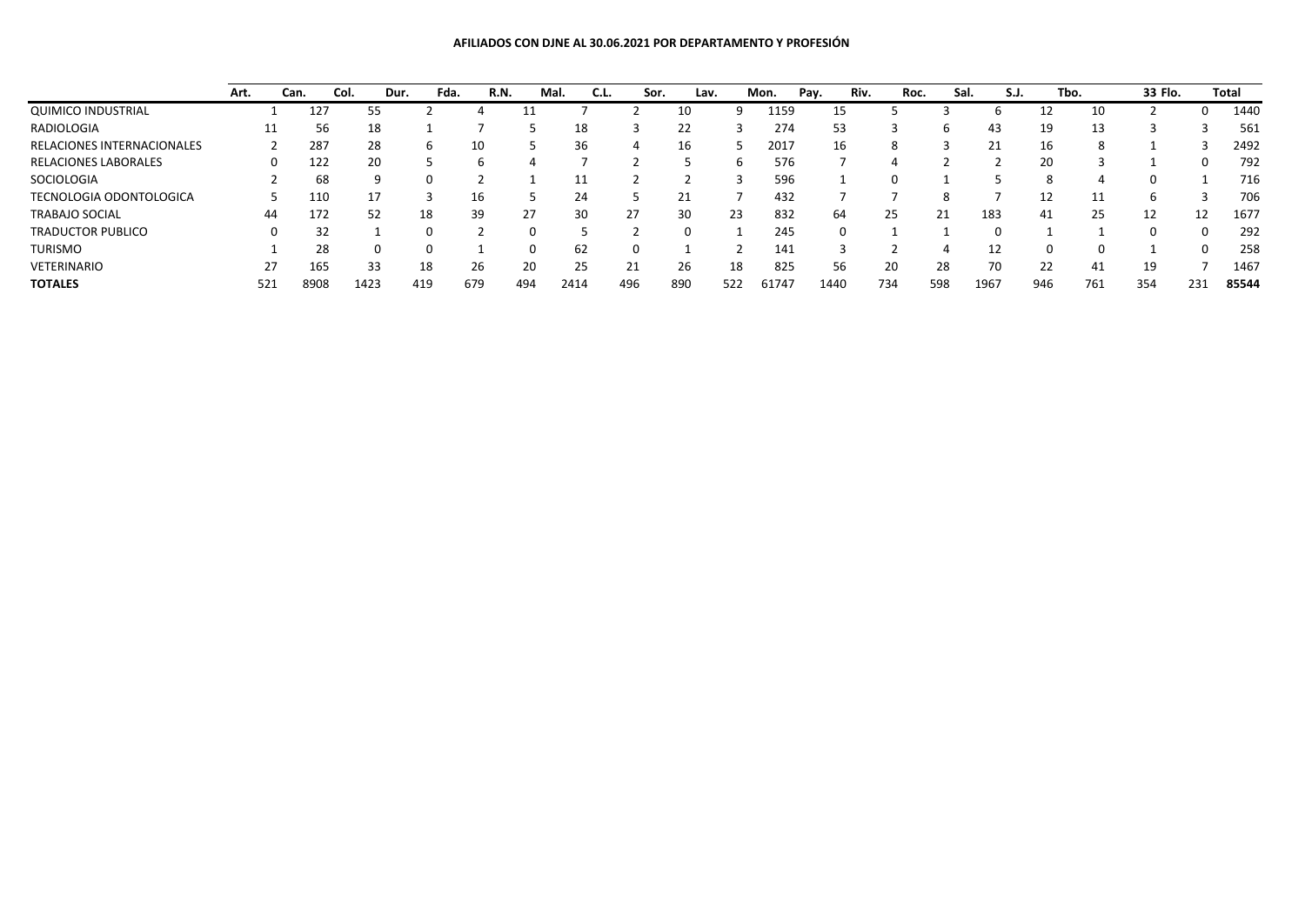## **AFILIADOS CON DJNE AL 30.06.2021 POR DEPARTAMENTO Y PROFESIÓN**

|                                   | Art. |     | Can. | Col. | Dur. | Fda. | R.N. | Mal. | C.L. | Sor. | Lav. |     | Mon.  | Pay. | Riv. | Roc. | Sal. | S.J. | Tbo. |     | 33 Flo. |     | Total |
|-----------------------------------|------|-----|------|------|------|------|------|------|------|------|------|-----|-------|------|------|------|------|------|------|-----|---------|-----|-------|
| <b>QUIMICO INDUSTRIAL</b>         |      |     | 127  | 55.  |      |      |      |      |      |      |      |     | 1159  |      | 15   |      |      |      |      |     |         |     | 1440  |
| RADIOLOGIA                        |      |     | 56   | 18   |      |      |      |      | 18   |      | 22   |     | 274   |      | 53   |      |      | 43   | 19   | 13  |         |     | 561   |
| <b>RELACIONES INTERNACIONALES</b> |      |     | 287  | 28   |      | h    | 10   |      | 36   |      | 16   |     | 2017  |      | 16   | 8    |      | 21   | 16   |     |         |     | 2492  |
| RELACIONES LABORALES              |      |     | 122  | 20   |      |      | h    |      |      |      |      |     | 576   |      |      |      |      |      | 20   |     |         |     | 792   |
| SOCIOLOGIA                        |      |     | 68   |      |      |      |      |      |      |      |      |     | 596   |      |      |      |      |      |      |     |         |     | 716   |
| <b>TECNOLOGIA ODONTOLOGICA</b>    |      |     | 110  |      |      |      | 16   |      | 24   |      | 21   |     | 432   |      |      |      |      |      | 12   | 11  |         |     | 706   |
| <b>TRABAJO SOCIAL</b>             |      | 44  | 172  | 52   |      | 18   | 39   | 27   | 30   | 27   | 30   | 23  | 832   |      | 64   | 25   | 21   | 183  | 41   | 25  | 12      | 12  | 1677  |
| <b>TRADUCTOR PUBLICO</b>          |      |     | 32   |      |      |      |      |      |      |      |      |     | 245   |      |      |      |      |      |      |     |         |     | 292   |
| <b>TURISMO</b>                    |      |     | 28   |      |      |      |      |      | 62   |      |      |     | 141   |      |      |      |      | 12   |      |     |         |     | 258   |
| VETERINARIO                       |      | 27  | 165  | 33   |      | 18   | 26   | 20   | 25   | 21   | 26   | 18  | 825   |      | 56   | 20   | 28   | 70   | 22   | 41  | 19      |     | 1467  |
| <b>TOTALES</b>                    |      | 521 | 8908 | 1423 |      | 419  | 679  | 494  | 2414 | 496  | 890  | 522 | 61747 | 1440 |      | 734  | 598  | 1967 | 946  | 761 | 354     | 231 | 85544 |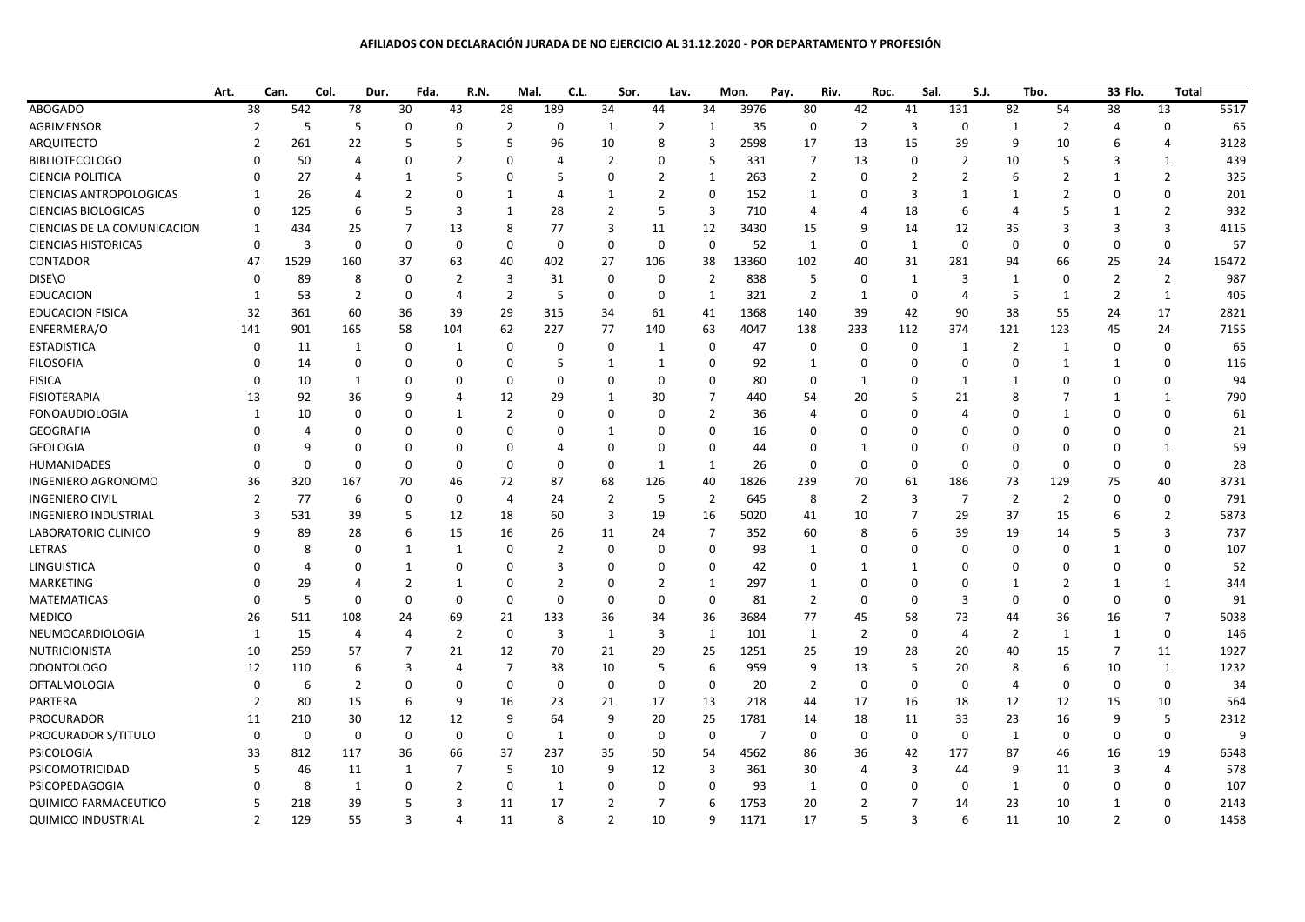## **AFILIADOS CON DECLARACIÓN JURADA DE NO EJERCICIO AL 31.12.2020 - POR DEPARTAMENTO Y PROFESIÓN**

|                                | Art.                     | Can.        | Col.<br>Dur.     | Fda.           | R.N.             | Mal.           | C.L.           | Sor.           | Lav.           |                  | Mon.           | Pay.           | Riv.           | Roc.             | Sal.<br>S.J.   |                | Tbo.           | 33 Flo.        | Total          |       |
|--------------------------------|--------------------------|-------------|------------------|----------------|------------------|----------------|----------------|----------------|----------------|------------------|----------------|----------------|----------------|------------------|----------------|----------------|----------------|----------------|----------------|-------|
| <b>ABOGADO</b>                 | 38                       | 542         | 78               | 30             | 43               | 28             | 189            | 34             | 44             | 34               | 3976           | 80             | 42             | 41               | 131            | 82             | 54             | 38             | 13             | 5517  |
| AGRIMENSOR                     | $\overline{2}$           | 5           | 5                | 0              | $\mathbf 0$      | $\overline{2}$ | $\mathbf 0$    | 1              | $\overline{2}$ | $\mathbf{1}$     | 35             | $\mathbf 0$    | $\overline{2}$ | 3                | 0              | 1              | $\overline{2}$ | $\overline{4}$ | $\Omega$       | 65    |
| ARQUITECTO                     | $\overline{2}$           | 261         | 22               | 5              | 5                | 5              | 96             | 10             | 8              | 3                | 2598           | 17             | 13             | 15               | 39             | 9              | 10             | 6              | 4              | 3128  |
| <b>BIBLIOTECOLOGO</b>          | $\Omega$                 | 50          | $\Delta$         | 0              | $\overline{2}$   | $\mathbf 0$    | $\overline{4}$ | $\overline{2}$ | $\mathbf 0$    | 5                | 331            | $\overline{7}$ | 13             | $\mathbf 0$      | $\overline{2}$ | 10             | 5              | 3              | 1              | 439   |
| <b>CIENCIA POLITICA</b>        | $\Omega$                 | 27          | 4                | 1              | 5                | $\mathbf 0$    | 5              | $\Omega$       | $\overline{2}$ | 1                | 263            | $\overline{2}$ | $\Omega$       | $\overline{2}$   | $\overline{2}$ | 6              | $\overline{2}$ | 1              | 2              | 325   |
| <b>CIENCIAS ANTROPOLOGICAS</b> | $\mathbf{1}$             | 26          | 4                | $\overline{2}$ | $\Omega$         | 1              | $\overline{4}$ | 1              | $\overline{2}$ | 0                | 152            | 1              | $\Omega$       | 3                | $\mathbf{1}$   | 1              | $\overline{2}$ | $\Omega$       | $\Omega$       | 201   |
| <b>CIENCIAS BIOLOGICAS</b>     | $\Omega$                 | 125         | 6                | 5              | 3                | 1              | 28             | 2              | 5              | 3                | 710            | $\overline{4}$ | 4              | 18               | 6              | $\overline{4}$ | 5              | 1              | $\overline{2}$ | 932   |
| CIENCIAS DE LA COMUNICACION    | $\mathbf{1}$             | 434         | 25               | 7              | 13               | 8              | 77             | $\overline{3}$ | 11             | 12               | 3430           | 15             | q              | 14               | 12             | 35             | $\overline{3}$ | 3              | 3              | 4115  |
| <b>CIENCIAS HISTORICAS</b>     | $\Omega$                 | 3           | $\boldsymbol{0}$ | $\Omega$       | $\boldsymbol{0}$ | $\mathbf 0$    | $\mathbf 0$    | $\mathbf 0$    | $\overline{0}$ | $\boldsymbol{0}$ | 52             | $\mathbf{1}$   | $\Omega$       | $\mathbf{1}$     | 0              | $\mathbf 0$    | $\mathbf 0$    | $\mathbf 0$    | $\mathbf 0$    | 57    |
| CONTADOR                       | 47                       | 1529        | 160              | 37             | 63               | 40             | 402            | 27             | 106            | 38               | 13360          | 102            | 40             | 31               | 281            | 94             | 66             | 25             | 24             | 16472 |
| DISE\O                         | $\Omega$                 | 89          | 8                | $\Omega$       | $\overline{2}$   | 3              | 31             | $\Omega$       | $\mathbf 0$    | $\overline{2}$   | 838            | 5              | $\Omega$       | $\mathbf{1}$     | 3              | $\mathbf{1}$   | $\mathbf 0$    | $\overline{2}$ | $\overline{2}$ | 987   |
| <b>EDUCACION</b>               | $\mathbf{1}$             | 53          | 2                | 0              | $\overline{4}$   | $\overline{2}$ | 5              | 0              | $\Omega$       | $\mathbf{1}$     | 321            | $\overline{2}$ | 1              | $\mathbf 0$      | 4              | 5              | $\mathbf{1}$   | 2              | 1              | 405   |
| <b>EDUCACION FISICA</b>        | 32                       | 361         | 60               | 36             | 39               | 29             | 315            | 34             | 61             | 41               | 1368           | 140            | 39             | 42               | 90             | 38             | 55             | 24             | 17             | 2821  |
| ENFERMERA/O                    | 141                      | 901         | 165              | 58             | 104              | 62             | 227            | 77             | 140            | 63               | 4047           | 138            | 233            | 112              | 374            | 121            | 123            | 45             | 24             | 7155  |
| <b>ESTADISTICA</b>             | $\mathbf 0$              | 11          | 1                | 0              | 1                | 0              | 0              | 0              | 1              | 0                | 47             | 0              | $\Omega$       | 0                | 1              | $\overline{2}$ | $\mathbf{1}$   | 0              | $\Omega$       | 65    |
| <b>FILOSOFIA</b>               | $\Omega$                 | 14          | 0                | $\Omega$       | 0                | $\mathbf 0$    | 5              | 1              | $\mathbf{1}$   | 0                | 92             | 1              | $\Omega$       | 0                | 0              | $\mathbf 0$    | $\mathbf{1}$   | $\mathbf{1}$   | $\Omega$       | 116   |
| <b>FISICA</b>                  | $\Omega$                 | 10          | 1                | 0              | $\mathbf 0$      | $\mathbf 0$    | $\Omega$       | $\Omega$       | $\Omega$       | $\mathbf 0$      | 80             | $\Omega$       | 1              | $\Omega$         | $\mathbf{1}$   | $\mathbf{1}$   | $\Omega$       | $\Omega$       | $\Omega$       | 94    |
| <b>FISIOTERAPIA</b>            | 13                       | 92          | 36               | q              | 4                | 12             | 29             | 1              | 30             | $\overline{7}$   | 440            | 54             | 20             | 5                | 21             | 8              | 7              | $\mathbf{1}$   | 1              | 790   |
| <b>FONOAUDIOLOGIA</b>          | $\mathbf{1}$             | 10          | 0                | 0              | 1                | $\overline{2}$ | 0              | $\Omega$       | $\mathbf 0$    | $\overline{2}$   | 36             | $\overline{4}$ | $\Omega$       | $\Omega$         | Δ              | $\mathbf 0$    | 1              | $\mathbf 0$    | $\mathbf 0$    | 61    |
| <b>GEOGRAFIA</b>               | U                        | 4           | $\Omega$         | 0              | $\mathbf 0$      | $\mathbf 0$    | 0              | 1              | 0              | 0                | 16             | 0              | 0              | $\Omega$         | O              | $\mathbf 0$    | $\Omega$       | $\Omega$       | $\Omega$       | 21    |
| <b>GEOLOGIA</b>                | $\Omega$                 | q           | $\Omega$         | $\Omega$       | $\Omega$         | $\mathbf 0$    | 4              | $\Omega$       | $\Omega$       | 0                | 44             | $\mathbf 0$    | 1              | $\Omega$         | O              | $\Omega$       | $\mathbf 0$    | $\mathbf 0$    | 1              | 59    |
| <b>HUMANIDADES</b>             | $\Omega$                 | $\Omega$    | $\mathbf 0$      | $\Omega$       | $\mathbf 0$      | $\mathbf 0$    | $\mathbf 0$    | $\mathbf 0$    | 1              | $\mathbf{1}$     | 26             | $\overline{0}$ | $\Omega$       | $\mathbf 0$      | $\Omega$       | $\mathbf 0$    | $\mathbf 0$    | $\mathbf 0$    | $\mathbf 0$    | 28    |
| <b>INGENIERO AGRONOMO</b>      | 36                       | 320         | 167              | 70             | 46               | 72             | 87             | 68             | 126            | 40               | 1826           | 239            | 70             | 61               | 186            | 73             | 129            | 75             | 40             | 3731  |
| <b>INGENIERO CIVIL</b>         | $\overline{2}$           | 77          | 6                | 0              | $\pmb{0}$        | 4              | 24             | $\overline{2}$ | 5              | $\overline{2}$   | 645            | 8              | $\overline{2}$ | 3                | $\overline{7}$ | $\overline{2}$ | $\overline{2}$ | $\mathbf 0$    | $\mathbf 0$    | 791   |
| <b>INGENIERO INDUSTRIAL</b>    | 3                        | 531         | 39               | 5              | 12               | 18             | 60             | 3              | 19             | 16               | 5020           | 41             | 10             | 7                | 29             | 37             | 15             | 6              | $\overline{2}$ | 5873  |
| LABORATORIO CLINICO            | q                        | 89          | 28               | 6              | 15               | 16             | 26             | 11             | 24             | 7                | 352            | 60             | 8              | 6                | 39             | 19             | 14             | 5              | 3              | 737   |
| LETRAS                         |                          | 8           | $\Omega$         | 1              | 1                | $\mathbf 0$    | $\overline{2}$ | $\Omega$       | 0              | 0                | 93             | 1              | $\Omega$       | $\Omega$         | $\Omega$       | $\mathbf 0$    | $\mathbf 0$    | $\mathbf{1}$   | $\mathbf 0$    | 107   |
| LINGUISTICA                    |                          | Δ           | $\Omega$         | 1              | $\Omega$         | $\mathbf 0$    | 3              | $\Omega$       | $\Omega$       | $\mathbf 0$      | 42             | $\Omega$       | 1              | -1               | $\Omega$       | $\Omega$       | $\Omega$       | $\Omega$       | $\Omega$       | 52    |
| <b>MARKETING</b>               |                          | 29          | 4                | $\overline{2}$ | 1                | $\mathbf 0$    | $\overline{2}$ | $\Omega$       | $\overline{2}$ | $\mathbf{1}$     | 297            | 1              | $\Omega$       | $\mathbf 0$      | O              | 1              | $\overline{2}$ | 1              | 1              | 344   |
| <b>MATEMATICAS</b>             | $\Omega$                 | 5           | 0                | $\Omega$       | 0                | $\mathbf 0$    | 0              | $\Omega$       | $\mathbf 0$    | 0                | 81             | $\overline{2}$ | $\Omega$       | 0                | 3              | $\Omega$       | $\mathbf 0$    | $\mathbf{0}$   | $\mathbf 0$    | 91    |
| <b>MEDICO</b>                  | 26                       | 511         | 108              | 24             | 69               | 21             | 133            | 36             | 34             | 36               | 3684           | 77             | 45             | 58               | 73             | 44             | 36             | 16             | 7              | 5038  |
| NEUMOCARDIOLOGIA               | $\mathbf{1}$             | 15          | $\overline{4}$   | 4              | $\overline{2}$   | $\mathbf 0$    | 3              | 1              | 3              | 1                | 101            | 1              | $\overline{2}$ | $\mathbf 0$      | 4              | $\overline{2}$ | $\mathbf{1}$   | $\mathbf{1}$   | $\Omega$       | 146   |
| <b>NUTRICIONISTA</b>           | 10                       | 259         | 57               | $\overline{7}$ | 21               | 12             | 70             | 21             | 29             | 25               | 1251           | 25             | 19             | 28               | 20             | 40             | 15             | $\overline{7}$ | 11             | 1927  |
| <b>ODONTOLOGO</b>              | 12                       | 110         | 6                | 3              | 4                | $\overline{7}$ | 38             | 10             | 5              | 6                | 959            | 9              | 13             | 5                | 20             | 8              | 6              | 10             | 1              | 1232  |
| <b>OFTALMOLOGIA</b>            | $\mathbf 0$              | 6           | 2                | $\Omega$       | 0                | $\mathbf 0$    | $\mathbf 0$    | 0              | 0              | 0                | 20             | $\overline{2}$ | 0              | 0                | 0              | 4              | 0              | $\overline{0}$ | $\mathbf 0$    | 34    |
| PARTERA                        | $\overline{2}$           | 80          | 15               | 6              | 9                | 16             | 23             | 21             | 17             | 13               | 218            | 44             | 17             | 16               | 18             | 12             | 12             | 15             | 10             | 564   |
| PROCURADOR                     | 11                       | 210         | 30               | 12             | 12               | 9              | 64             | 9              | 20             | 25               | 1781           | 14             | 18             | 11               | 33             | 23             | 16             | 9              | 5              | 2312  |
| PROCURADOR S/TITULO            | $\Omega$                 | $\mathbf 0$ | $\mathbf 0$      | $\mathbf 0$    | $\mathbf 0$      | $\mathbf 0$    | $\mathbf{1}$   | 0              | $\mathbf 0$    | $\mathbf 0$      | $\overline{7}$ | $\mathbf 0$    | $\Omega$       | $\boldsymbol{0}$ | $\mathbf{0}$   | $\mathbf{1}$   | $\mathbf 0$    | $\mathbf 0$    | $\Omega$       | q     |
| PSICOLOGIA                     | 33                       | 812         | 117              | 36             | 66               | 37             | 237            | 35             | 50             | 54               | 4562           | 86             | 36             | 42               | 177            | 87             | 46             | 16             | 19             | 6548  |
| PSICOMOTRICIDAD                | 5                        | 46          | 11               | 1              | 7                | 5              | 10             | 9              | 12             | 3                | 361            | 30             | 4              | 3                | 44             | 9              | 11             | 3              | $\overline{4}$ | 578   |
| PSICOPEDAGOGIA                 | 0                        | 8           | 1                | 0              | $\overline{2}$   | 0              | $\mathbf{1}$   | $\Omega$       | 0              | 0                | 93             | 1              | $\Omega$       | $\Omega$         | 0              | $\mathbf{1}$   | 0              | $\Omega$       | $\Omega$       | 107   |
| <b>QUIMICO FARMACEUTICO</b>    | 5                        | 218         | 39               | 5              | 3                | 11             | 17             | 2              | $\overline{7}$ | 6                | 1753           | 20             | 2              | 7                | 14             | 23             | 10             | $\mathbf{1}$   | 0              | 2143  |
| <b>QUIMICO INDUSTRIAL</b>      | $\overline{\phantom{0}}$ | 129         | 55               | $\overline{3}$ | 4                | 11             | 8              | $\overline{2}$ | 10             | 9                | 1171           | 17             | 5              | 3                | 6              | 11             | 10             | $\overline{2}$ | $\Omega$       | 1458  |